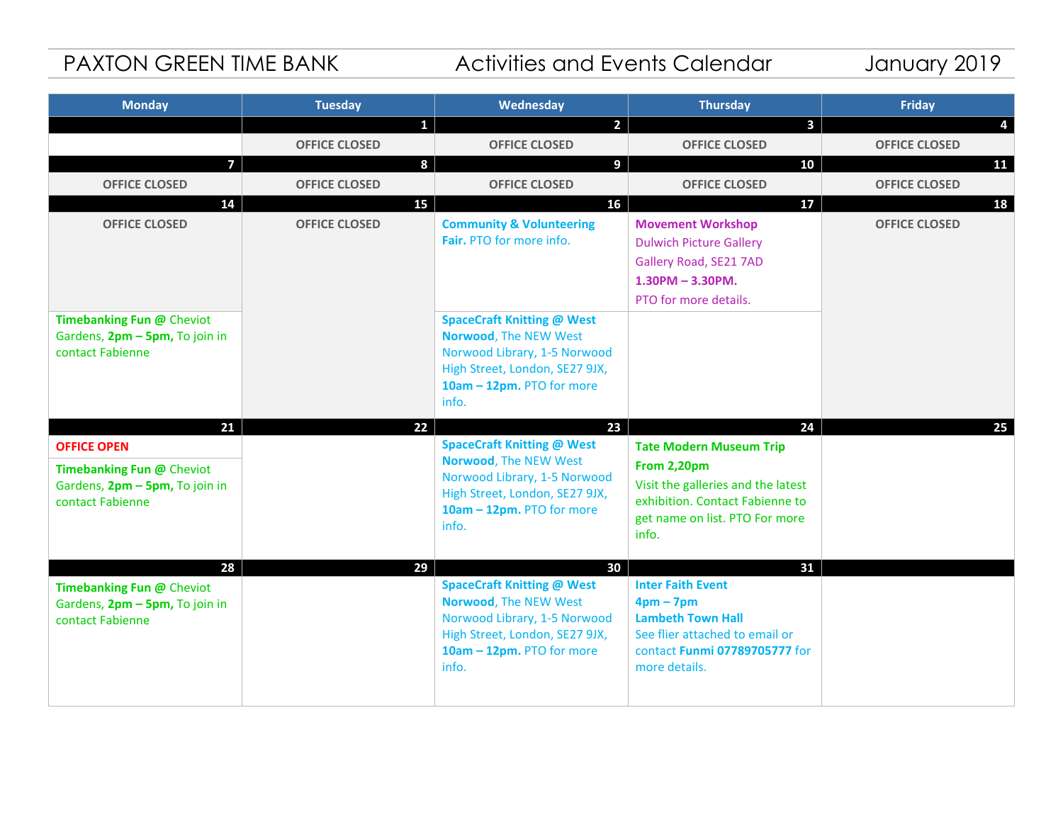# PAXTON GREEN TIME BANK Activities and Events Calendar January 2019

| <b>Monday</b>                                               | <b>Tuesday</b>       | Wednesday                                                  | <b>Thursday</b>                                                   | Friday               |
|-------------------------------------------------------------|----------------------|------------------------------------------------------------|-------------------------------------------------------------------|----------------------|
|                                                             | $\mathbf{1}$         | $\overline{2}$                                             | $\mathbf{3}$                                                      | 4                    |
|                                                             | <b>OFFICE CLOSED</b> | <b>OFFICE CLOSED</b>                                       | <b>OFFICE CLOSED</b>                                              | <b>OFFICE CLOSED</b> |
| $\overline{7}$                                              | 8                    | 9                                                          | 10                                                                | 11                   |
| <b>OFFICE CLOSED</b>                                        | <b>OFFICE CLOSED</b> | <b>OFFICE CLOSED</b>                                       | <b>OFFICE CLOSED</b>                                              | <b>OFFICE CLOSED</b> |
| 14                                                          | 15                   | 16                                                         | 17                                                                | 18                   |
| <b>OFFICE CLOSED</b>                                        | <b>OFFICE CLOSED</b> | <b>Community &amp; Volunteering</b>                        | <b>Movement Workshop</b>                                          | <b>OFFICE CLOSED</b> |
|                                                             |                      | Fair. PTO for more info.                                   | <b>Dulwich Picture Gallery</b>                                    |                      |
|                                                             |                      |                                                            | Gallery Road, SE21 7AD                                            |                      |
|                                                             |                      |                                                            | $1.30$ PM - $3.30$ PM.                                            |                      |
|                                                             |                      |                                                            | PTO for more details.                                             |                      |
| Timebanking Fun @ Cheviot<br>Gardens, 2pm - 5pm, To join in |                      | <b>SpaceCraft Knitting @ West</b><br>Norwood, The NEW West |                                                                   |                      |
| contact Fabienne                                            |                      | Norwood Library, 1-5 Norwood                               |                                                                   |                      |
|                                                             |                      | High Street, London, SE27 9JX,                             |                                                                   |                      |
|                                                             |                      | 10am - 12pm. PTO for more                                  |                                                                   |                      |
|                                                             |                      | info.                                                      |                                                                   |                      |
| 21                                                          | 22                   | 23                                                         | 24                                                                | 25                   |
| <b>OFFICE OPEN</b>                                          |                      | <b>SpaceCraft Knitting @ West</b>                          | <b>Tate Modern Museum Trip</b>                                    |                      |
| Timebanking Fun @ Cheviot                                   |                      | Norwood, The NEW West<br>Norwood Library, 1-5 Norwood      | From 2,20pm                                                       |                      |
| Gardens, 2pm - 5pm, To join in                              |                      | High Street, London, SE27 9JX,                             | Visit the galleries and the latest                                |                      |
| contact Fabienne                                            |                      | 10am - 12pm. PTO for more                                  | exhibition. Contact Fabienne to<br>get name on list. PTO For more |                      |
|                                                             |                      | info.                                                      | info.                                                             |                      |
|                                                             |                      |                                                            |                                                                   |                      |
| 28                                                          | 29                   | 30                                                         | 31                                                                |                      |
| Timebanking Fun @ Cheviot                                   |                      | <b>SpaceCraft Knitting @ West</b>                          | <b>Inter Faith Event</b>                                          |                      |
| Gardens, 2pm - 5pm, To join in<br>contact Fabienne          |                      | Norwood, The NEW West<br>Norwood Library, 1-5 Norwood      | $4pm-7pm$<br><b>Lambeth Town Hall</b>                             |                      |
|                                                             |                      | High Street, London, SE27 9JX,                             | See flier attached to email or                                    |                      |
|                                                             |                      | 10am - 12pm. PTO for more                                  | contact Funmi 07789705777 for                                     |                      |
|                                                             |                      | info.                                                      | more details.                                                     |                      |
|                                                             |                      |                                                            |                                                                   |                      |